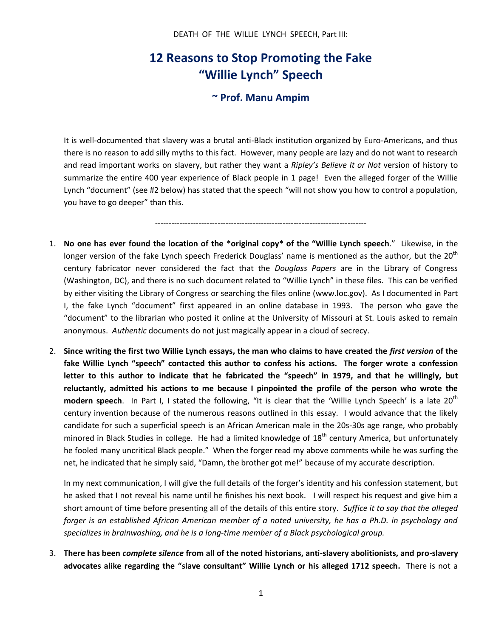## **12 Reasons to Stop Promoting the Fake "Willie Lynch" Speech**

## **~ Prof. Manu Ampim**

It is well-documented that slavery was a brutal anti-Black institution organized by Euro-Americans, and thus there is no reason to add silly myths to this fact. However, many people are lazy and do not want to research and read important works on slavery, but rather they want a *Ripley's Believe It or Not* version of history to summarize the entire 400 year experience of Black people in 1 page! Even the alleged forger of the Willie Lynch "document" (see #2 below) has stated that the speech "will not show you how to control a population, you have to go deeper" than this.

------------------------------------------------------------------------------

- 1. **No one has ever found the location of the \*original copy\* of the "Willie Lynch speech**." Likewise, in the longer version of the fake Lynch speech Frederick Douglass' name is mentioned as the author, but the 20<sup>th</sup> century fabricator never considered the fact that the *Douglass Papers* are in the Library of Congress (Washington, DC), and there is no such document related to "Willie Lynch" in these files. This can be verified by either visiting the Library of Congress or searching the files online (www.loc.gov). As I documented in Part I, the fake Lynch "document" first appeared in an online database in 1993. The person who gave the "document" to the librarian who posted it online at the University of Missouri at St. Louis asked to remain anonymous. *Authentic* documents do not just magically appear in a cloud of secrecy.
- 2. **Since writing the first two Willie Lynch essays, the man who claims to have created the** *first version* **of the fake Willie Lynch "speech" contacted this author to confess his actions. The forger wrote a confession letter to this author to indicate that he fabricated the "speech" in 1979, and that he willingly, but reluctantly, admitted his actions to me because I pinpointed the profile of the person who wrote the modern speech**. In Part I, I stated the following, "It is clear that the 'Willie Lynch Speech' is a late 20<sup>th</sup> century invention because of the numerous reasons outlined in this essay. I would advance that the likely candidate for such a superficial speech is an African American male in the 20s-30s age range, who probably minored in Black Studies in college. He had a limited knowledge of 18<sup>th</sup> century America, but unfortunately he fooled many uncritical Black people." When the forger read my above comments while he was surfing the net, he indicated that he simply said, "Damn, the brother got me!" because of my accurate description.

In my next communication, I will give the full details of the forger's identity and his confession statement, but he asked that I not reveal his name until he finishes his next book. I will respect his request and give him a short amount of time before presenting all of the details of this entire story. *Suffice it to say that the alleged forger is an established African American member of a noted university, he has a Ph.D. in psychology and specializes in brainwashing, and he is a long-time member of a Black psychological group.*

3. **There has been** *complete silence* **from all of the noted historians, anti-slavery abolitionists, and pro-slavery advocates alike regarding the "slave consultant" Willie Lynch or his alleged 1712 speech.** There is not a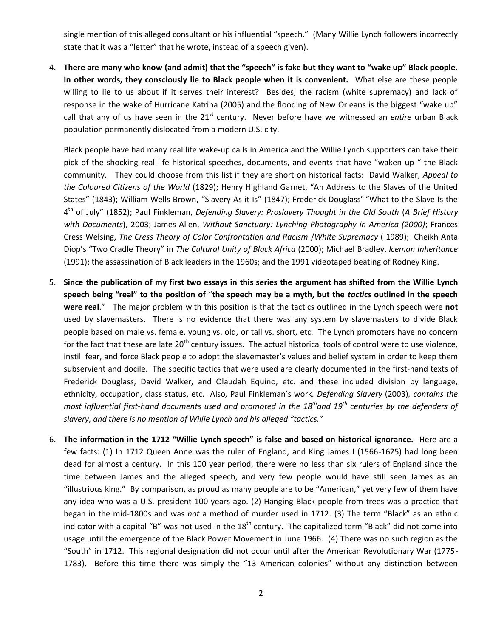single mention of this alleged consultant or his influential "speech." (Many Willie Lynch followers incorrectly state that it was a "letter" that he wrote, instead of a speech given).

4. **There are many who know (and admit) that the "speech" is fake but they want to "wake up" Black people. In other words, they consciously lie to Black people when it is convenient.** What else are these people willing to lie to us about if it serves their interest? Besides, the racism (white supremacy) and lack of response in the wake of Hurricane Katrina (2005) and the flooding of New Orleans is the biggest "wake up" call that any of us have seen in the 21<sup>st</sup> century. Never before have we witnessed an *entire* urban Black population permanently dislocated from a modern U.S. city.

Black people have had many real life wake**-**up calls in America and the Willie Lynch supporters can take their pick of the shocking real life historical speeches, documents, and events that have "waken up " the Black community. They could choose from this list if they are short on historical facts: David Walker, *Appeal to the Coloured Citizens of the World* (1829); Henry Highland Garnet, "An Address to the Slaves of the United States" (1843); William Wells Brown, "Slavery As it Is" (1847); Frederick Douglass' "What to the Slave Is the 4 th of July" (1852); Paul Finkleman, *Defending Slavery: Proslavery Thought in the Old South* (*A Brief History with Documents*), 2003; James Allen, *Without Sanctuary: Lynching Photography in America (2000)*; Frances Cress Welsing, *The Cress Theory of Color Confrontation and Racism* /*White Supremacy* ( 1989); Cheikh Anta Diop's "Two Cradle Theory" in *The Cultural Unity of Black Africa* (2000); Michael Bradley, *Iceman Inheritance* (1991); the assassination of Black leaders in the 1960s; and the 1991 videotaped beating of Rodney King.

- 5. **Since the publication of my first two essays in this series the argument has shifted from the Willie Lynch speech being "real" to the position of** "**the speech may be a myth, but the** *tactics* **outlined in the speech were real**." The major problem with this position is that the tactics outlined in the Lynch speech were **not** used by slavemasters. There is no evidence that there was any system by slavemasters to divide Black people based on male vs. female, young vs. old, or tall vs. short, etc. The Lynch promoters have no concern for the fact that these are late  $20<sup>th</sup>$  century issues. The actual historical tools of control were to use violence, instill fear, and force Black people to adopt the slavemaster's values and belief system in order to keep them subservient and docile. The specific tactics that were used are clearly documented in the first-hand texts of Frederick Douglass, David Walker, and Olaudah Equino, etc. and these included division by language, ethnicity, occupation, class status, etc. Also*,* Paul Finkleman's work*, Defending Slavery* (2003)*, contains the most influential first-hand documents used and promoted in the 18 thand 19 th centuries by the defenders of slavery, and there is no mention of Willie Lynch and his alleged "tactics."*
- 6. **The information in the 1712 "Willie Lynch speech" is false and based on historical ignorance.** Here are a few facts: (1) In 1712 Queen Anne was the ruler of England, and King James I (1566-1625) had long been dead for almost a century. In this 100 year period, there were no less than six rulers of England since the time between James and the alleged speech, and very few people would have still seen James as an "illustrious king." By comparison, as proud as many people are to be "American," yet very few of them have any idea who was a U.S. president 100 years ago. (2) Hanging Black people from trees was a practice that began in the mid-1800s and was *not* a method of murder used in 1712. (3) The term "Black" as an ethnic indicator with a capital "B" was not used in the  $18<sup>th</sup>$  century. The capitalized term "Black" did not come into usage until the emergence of the Black Power Movement in June 1966. (4) There was no such region as the "South" in 1712. This regional designation did not occur until after the American Revolutionary War (1775- 1783). Before this time there was simply the "13 American colonies" without any distinction between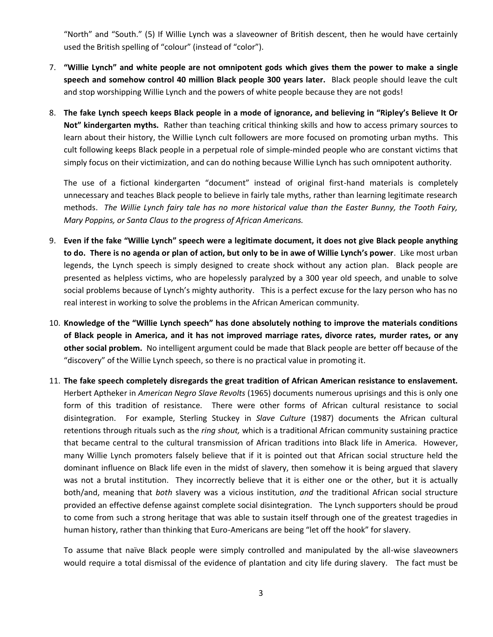"North" and "South." (5) If Willie Lynch was a slaveowner of British descent, then he would have certainly used the British spelling of "colour" (instead of "color").

- 7. **"Willie Lynch" and white people are not omnipotent gods which gives them the power to make a single speech and somehow control 40 million Black people 300 years later.** Black people should leave the cult and stop worshipping Willie Lynch and the powers of white people because they are not gods!
- 8. **The fake Lynch speech keeps Black people in a mode of ignorance, and believing in "Ripley's Believe It Or Not" kindergarten myths.** Rather than teaching critical thinking skills and how to access primary sources to learn about their history, the Willie Lynch cult followers are more focused on promoting urban myths. This cult following keeps Black people in a perpetual role of simple-minded people who are constant victims that simply focus on their victimization, and can do nothing because Willie Lynch has such omnipotent authority.

The use of a fictional kindergarten "document" instead of original first-hand materials is completely unnecessary and teaches Black people to believe in fairly tale myths, rather than learning legitimate research methods. *The Willie Lynch fairy tale has no more historical value than the Easter Bunny, the Tooth Fairy, Mary Poppins, or Santa Claus to the progress of African Americans.* 

- 9. **Even if the fake "Willie Lynch" speech were a legitimate document, it does not give Black people anything to do. There is no agenda or plan of action, but only to be in awe of Willie Lynch's power**. Like most urban legends, the Lynch speech is simply designed to create shock without any action plan. Black people are presented as helpless victims, who are hopelessly paralyzed by a 300 year old speech, and unable to solve social problems because of Lynch's mighty authority. This is a perfect excuse for the lazy person who has no real interest in working to solve the problems in the African American community.
- 10. **Knowledge of the "Willie Lynch speech" has done absolutely nothing to improve the materials conditions of Black people in America, and it has not improved marriage rates, divorce rates, murder rates, or any other social problem.** No intelligent argument could be made that Black people are better off because of the "discovery" of the Willie Lynch speech, so there is no practical value in promoting it.
- 11. **The fake speech completely disregards the great tradition of African American resistance to enslavement.**  Herbert Aptheker in *American Negro Slave Revolts* (1965) documents numerous uprisings and this is only one form of this tradition of resistance. There were other forms of African cultural resistance to social disintegration. For example, Sterling Stuckey in *Slave Culture* (1987) documents the African cultural retentions through rituals such as the *ring shout,* which is a traditional African community sustaining practice that became central to the cultural transmission of African traditions into Black life in America. However, many Willie Lynch promoters falsely believe that if it is pointed out that African social structure held the dominant influence on Black life even in the midst of slavery, then somehow it is being argued that slavery was not a brutal institution. They incorrectly believe that it is either one or the other, but it is actually both/and, meaning that *both* slavery was a vicious institution, *and* the traditional African social structure provided an effective defense against complete social disintegration. The Lynch supporters should be proud to come from such a strong heritage that was able to sustain itself through one of the greatest tragedies in human history, rather than thinking that Euro-Americans are being "let off the hook" for slavery.

To assume that naïve Black people were simply controlled and manipulated by the all-wise slaveowners would require a total dismissal of the evidence of plantation and city life during slavery. The fact must be